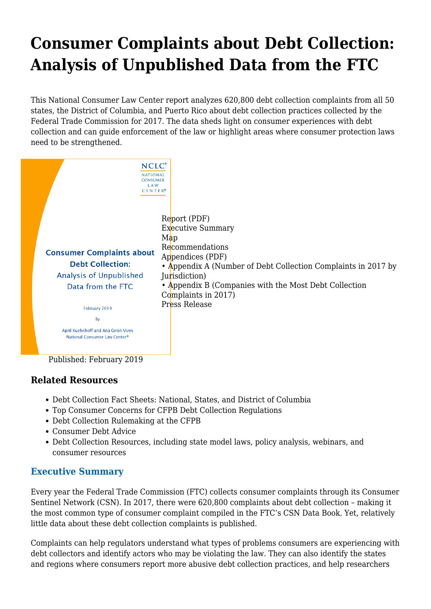# **[Consumer Complaints about Debt Collection:](https://www.nclc.org/issues/analysis-of-unpublished-data-ftc.html) [Analysis of Unpublished Data from the FTC](https://www.nclc.org/issues/analysis-of-unpublished-data-ftc.html)**

This National Consumer Law Center report analyzes 620,800 debt collection complaints from all 50 states, the District of Columbia, and Puerto Rico about debt collection practices collected by the Federal Trade Commission for 2017. The data sheds light on consumer experiences with debt collection and can guide enforcement of the law or highlight areas where consumer protection laws need to be strengthened.



Published: February 2019

## **Related Resources**

- [Debt Collection Fact Sheets: National, States, and District of Columbia](https://www.nclc.org/issues/debt-collection-fact-sheets.html)
- [Top Consumer Concerns for CFPB Debt Collection Regulations](https://www.nclc.org/images/pdf/debt_collection/top-consumer-concerns-debt-collection-regulations-sept2018.pdf)
- [Debt Collection Rulemaking at the CFPB](https://www.nclc.org/issues/debt-collection-rulemaking-at-the-cfpb.html)
- [Consumer Debt Advice](https://mailchi.mp/nclc/consumerdebt)
- [Debt Collection Resources,](https://www.nclc.org/issues/debt-collection.html) including state model laws, policy analysis, webinars, and consumer resources

## <span id="page-0-0"></span>**Executive Summary**

Every year the Federal Trade Commission (FTC) collects consumer complaints through its Consumer Sentinel Network (CSN). In 2017, there were 620,800 complaints about debt collection – making it the most common type of consumer complaint compiled in the FTC's CSN Data Book. Yet, relatively little data about these debt collection complaints is published.

Complaints can help regulators understand what types of problems consumers are experiencing with debt collectors and identify actors who may be violating the law. They can also identify the states and regions where consumers report more abusive debt collection practices, and help researchers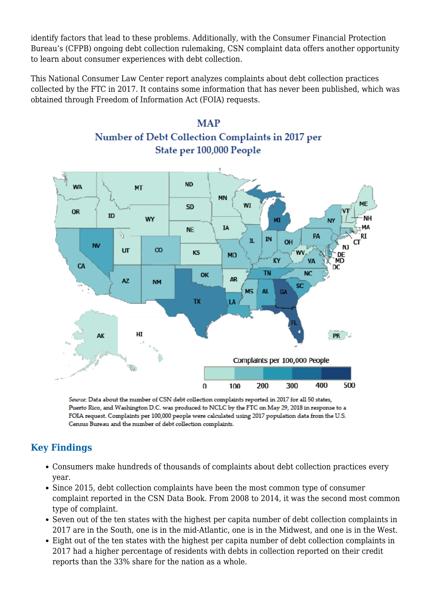identify factors that lead to these problems. Additionally, with the Consumer Financial Protection Bureau's (CFPB) ongoing debt collection rulemaking, CSN complaint data offers another opportunity to learn about consumer experiences with debt collection.

<span id="page-1-0"></span>This National Consumer Law Center report analyzes complaints about debt collection practices collected by the FTC in 2017. It contains some information that has never been published, which was obtained through Freedom of Information Act (FOIA) requests.





Source: Data about the number of CSN debt collection complaints reported in 2017 for all 50 states, Puerto Rico, and Washington D.C. was produced to NCLC by the FTC on May 29, 2018 in response to a FOIA request. Complaints per 100,000 people were calculated using 2017 population data from the U.S. Census Bureau and the number of debt collection complaints.

## **Key Findings**

- Consumers make hundreds of thousands of complaints about debt collection practices every year.
- Since 2015, debt collection complaints have been the most common type of consumer complaint reported in the CSN Data Book. From 2008 to 2014, it was the second most common type of complaint.
- Seven out of the ten states with the highest per capita number of debt collection complaints in 2017 are in the South, one is in the mid-Atlantic, one is in the Midwest, and one is in the West.
- Eight out of the ten states with the highest per capita number of debt collection complaints in 2017 had a higher percentage of residents with debts in collection reported on their credit reports than the 33% share for the nation as a whole.